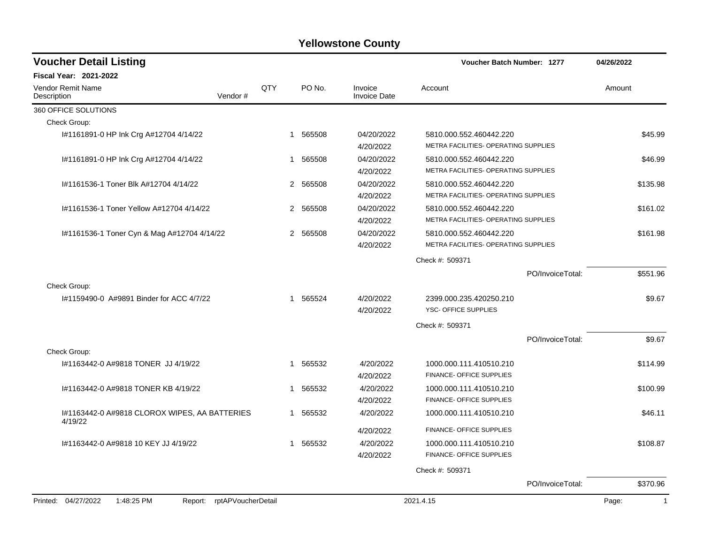| <b>Voucher Detail Listing</b>                                      |              |          |                                | <b>Voucher Batch Number: 1277</b>                               |                  | 04/26/2022            |
|--------------------------------------------------------------------|--------------|----------|--------------------------------|-----------------------------------------------------------------|------------------|-----------------------|
| <b>Fiscal Year: 2021-2022</b>                                      |              |          |                                |                                                                 |                  |                       |
| <b>Vendor Remit Name</b><br>Vendor#<br>Description                 | QTY          | PO No.   | Invoice<br><b>Invoice Date</b> | Account                                                         |                  | Amount                |
| 360 OFFICE SOLUTIONS                                               |              |          |                                |                                                                 |                  |                       |
| Check Group:                                                       |              |          |                                |                                                                 |                  |                       |
| I#1161891-0 HP Ink Crg A#12704 4/14/22                             | $\mathbf{1}$ | 565508   | 04/20/2022<br>4/20/2022        | 5810.000.552.460442.220<br>METRA FACILITIES- OPERATING SUPPLIES |                  | \$45.99               |
| #1161891-0 HP Ink Crg A#12704 4/14/22                              | 1            | 565508   | 04/20/2022<br>4/20/2022        | 5810.000.552.460442.220<br>METRA FACILITIES- OPERATING SUPPLIES |                  | \$46.99               |
| #1161536-1 Toner Blk A#12704 4/14/22                               |              | 2 565508 | 04/20/2022<br>4/20/2022        | 5810.000.552.460442.220<br>METRA FACILITIES- OPERATING SUPPLIES |                  | \$135.98              |
| #1161536-1 Toner Yellow A#12704 4/14/22                            |              | 2 565508 | 04/20/2022<br>4/20/2022        | 5810.000.552.460442.220<br>METRA FACILITIES- OPERATING SUPPLIES |                  | \$161.02              |
| #1161536-1 Toner Cyn & Mag A#12704 4/14/22                         |              | 2 565508 | 04/20/2022<br>4/20/2022        | 5810.000.552.460442.220<br>METRA FACILITIES- OPERATING SUPPLIES |                  | \$161.98              |
|                                                                    |              |          |                                | Check #: 509371                                                 |                  |                       |
|                                                                    |              |          |                                |                                                                 | PO/InvoiceTotal: | \$551.96              |
| Check Group:                                                       |              |          |                                |                                                                 |                  |                       |
| I#1159490-0 A#9891 Binder for ACC 4/7/22                           |              | 565524   | 4/20/2022<br>4/20/2022         | 2399.000.235.420250.210<br>YSC- OFFICE SUPPLIES                 |                  | \$9.67                |
|                                                                    |              |          |                                | Check #: 509371                                                 |                  |                       |
|                                                                    |              |          |                                |                                                                 | PO/InvoiceTotal: | \$9.67                |
| Check Group:                                                       |              |          |                                |                                                                 |                  |                       |
| I#1163442-0 A#9818 TONER JJ 4/19/22                                | 1            | 565532   | 4/20/2022<br>4/20/2022         | 1000.000.111.410510.210<br>FINANCE- OFFICE SUPPLIES             |                  | \$114.99              |
| I#1163442-0 A#9818 TONER KB 4/19/22                                | $\mathbf{1}$ | 565532   | 4/20/2022<br>4/20/2022         | 1000.000.111.410510.210<br>FINANCE- OFFICE SUPPLIES             |                  | \$100.99              |
| #1163442-0 A#9818 CLOROX WIPES, AA BATTERIES<br>4/19/22            | 1            | 565532   | 4/20/2022                      | 1000.000.111.410510.210                                         |                  | \$46.11               |
|                                                                    |              |          | 4/20/2022                      | FINANCE- OFFICE SUPPLIES                                        |                  |                       |
| #1163442-0 A#9818 10 KEY JJ 4/19/22                                | 1            | 565532   | 4/20/2022<br>4/20/2022         | 1000.000.111.410510.210<br>FINANCE- OFFICE SUPPLIES             |                  | \$108.87              |
|                                                                    |              |          |                                | Check #: 509371                                                 |                  |                       |
|                                                                    |              |          |                                |                                                                 | PO/InvoiceTotal: | \$370.96              |
| Printed: 04/27/2022<br>1:48:25 PM<br>rptAPVoucherDetail<br>Report: |              |          |                                | 2021.4.15                                                       |                  | Page:<br>$\mathbf{1}$ |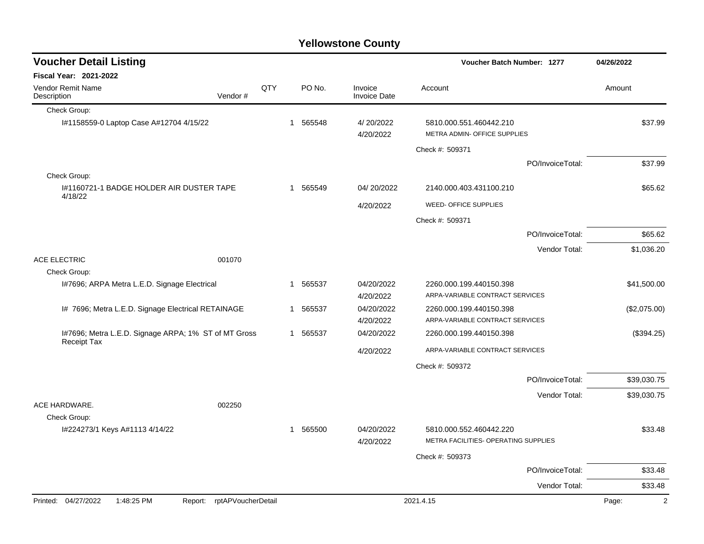| <b>Voucher Detail Listing</b>                                              |                            |     | Voucher Batch Number: 1277 |          |                                | 04/26/2022                                                      |                  |                         |
|----------------------------------------------------------------------------|----------------------------|-----|----------------------------|----------|--------------------------------|-----------------------------------------------------------------|------------------|-------------------------|
| Fiscal Year: 2021-2022                                                     |                            |     |                            |          |                                |                                                                 |                  |                         |
| <b>Vendor Remit Name</b><br>Description                                    | Vendor#                    | QTY |                            | PO No.   | Invoice<br><b>Invoice Date</b> | Account                                                         |                  | Amount                  |
| Check Group:                                                               |                            |     |                            |          |                                |                                                                 |                  |                         |
| I#1158559-0 Laptop Case A#12704 4/15/22                                    |                            |     |                            | 1 565548 | 4/20/2022<br>4/20/2022         | 5810.000.551.460442.210<br>METRA ADMIN- OFFICE SUPPLIES         |                  | \$37.99                 |
|                                                                            |                            |     |                            |          |                                | Check #: 509371                                                 |                  |                         |
|                                                                            |                            |     |                            |          |                                |                                                                 | PO/InvoiceTotal: | \$37.99                 |
| Check Group:                                                               |                            |     |                            |          |                                |                                                                 |                  |                         |
| I#1160721-1 BADGE HOLDER AIR DUSTER TAPE                                   |                            |     |                            | 1 565549 | 04/20/2022                     | 2140.000.403.431100.210                                         |                  | \$65.62                 |
| 4/18/22                                                                    |                            |     |                            |          | 4/20/2022                      | WEED- OFFICE SUPPLIES                                           |                  |                         |
|                                                                            |                            |     |                            |          |                                | Check #: 509371                                                 |                  |                         |
|                                                                            |                            |     |                            |          |                                |                                                                 | PO/InvoiceTotal: | \$65.62                 |
|                                                                            |                            |     |                            |          |                                |                                                                 | Vendor Total:    | \$1,036.20              |
| <b>ACE ELECTRIC</b>                                                        | 001070                     |     |                            |          |                                |                                                                 |                  |                         |
| Check Group:                                                               |                            |     |                            |          |                                |                                                                 |                  |                         |
| 1#7696; ARPA Metra L.E.D. Signage Electrical                               |                            |     | 1                          | 565537   | 04/20/2022                     | 2260.000.199.440150.398                                         |                  | \$41,500.00             |
|                                                                            |                            |     |                            |          | 4/20/2022                      | ARPA-VARIABLE CONTRACT SERVICES                                 |                  |                         |
| I# 7696; Metra L.E.D. Signage Electrical RETAINAGE                         |                            |     | 1                          | 565537   | 04/20/2022                     | 2260.000.199.440150.398                                         |                  | (\$2,075.00)            |
|                                                                            |                            |     |                            |          | 4/20/2022                      | ARPA-VARIABLE CONTRACT SERVICES                                 |                  |                         |
| I#7696; Metra L.E.D. Signage ARPA; 1% ST of MT Gross<br><b>Receipt Tax</b> |                            |     |                            | 1 565537 | 04/20/2022                     | 2260.000.199.440150.398                                         |                  | (\$394.25)              |
|                                                                            |                            |     |                            |          | 4/20/2022                      | ARPA-VARIABLE CONTRACT SERVICES                                 |                  |                         |
|                                                                            |                            |     |                            |          |                                | Check #: 509372                                                 |                  |                         |
|                                                                            |                            |     |                            |          |                                |                                                                 | PO/InvoiceTotal: | \$39,030.75             |
|                                                                            |                            |     |                            |          |                                |                                                                 | Vendor Total:    | \$39,030.75             |
| ACE HARDWARE.                                                              | 002250                     |     |                            |          |                                |                                                                 |                  |                         |
| Check Group:                                                               |                            |     |                            |          |                                |                                                                 |                  |                         |
| I#224273/1 Keys A#1113 4/14/22                                             |                            |     | 1                          | 565500   | 04/20/2022<br>4/20/2022        | 5810.000.552.460442.220<br>METRA FACILITIES- OPERATING SUPPLIES |                  | \$33.48                 |
|                                                                            |                            |     |                            |          |                                | Check #: 509373                                                 |                  |                         |
|                                                                            |                            |     |                            |          |                                |                                                                 | PO/InvoiceTotal: | \$33.48                 |
|                                                                            |                            |     |                            |          |                                |                                                                 | Vendor Total:    | \$33.48                 |
| Printed: 04/27/2022<br>1:48:25 PM                                          | Report: rptAPVoucherDetail |     |                            |          |                                | 2021.4.15                                                       |                  | $\overline{2}$<br>Page: |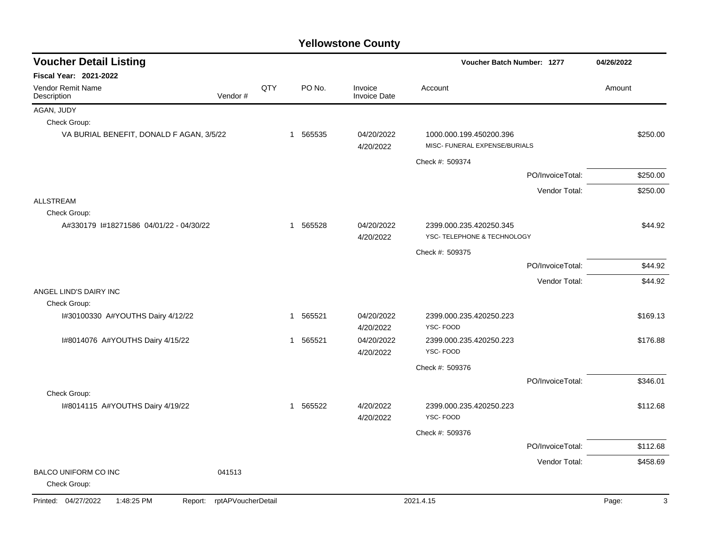| <b>Voucher Detail Listing</b>                |                    |     |          |                                | Voucher Batch Number: 1277                               |                  | 04/26/2022 |
|----------------------------------------------|--------------------|-----|----------|--------------------------------|----------------------------------------------------------|------------------|------------|
| <b>Fiscal Year: 2021-2022</b>                |                    |     |          |                                |                                                          |                  |            |
| <b>Vendor Remit Name</b><br>Description      | Vendor#            | QTY | PO No.   | Invoice<br><b>Invoice Date</b> | Account                                                  |                  | Amount     |
| AGAN, JUDY                                   |                    |     |          |                                |                                                          |                  |            |
| Check Group:                                 |                    |     |          |                                |                                                          |                  |            |
| VA BURIAL BENEFIT, DONALD F AGAN, 3/5/22     |                    |     | 1 565535 | 04/20/2022<br>4/20/2022        | 1000.000.199.450200.396<br>MISC- FUNERAL EXPENSE/BURIALS |                  | \$250.00   |
|                                              |                    |     |          |                                | Check #: 509374                                          |                  |            |
|                                              |                    |     |          |                                |                                                          | PO/InvoiceTotal: | \$250.00   |
|                                              |                    |     |          |                                |                                                          | Vendor Total:    | \$250.00   |
| <b>ALLSTREAM</b>                             |                    |     |          |                                |                                                          |                  |            |
| Check Group:                                 |                    |     |          |                                |                                                          |                  |            |
| A#330179 1#18271586 04/01/22 - 04/30/22      |                    |     | 1 565528 | 04/20/2022<br>4/20/2022        | 2399.000.235.420250.345<br>YSC- TELEPHONE & TECHNOLOGY   |                  | \$44.92    |
|                                              |                    |     |          |                                | Check #: 509375                                          |                  |            |
|                                              |                    |     |          |                                |                                                          | PO/InvoiceTotal: | \$44.92    |
|                                              |                    |     |          |                                |                                                          | Vendor Total:    | \$44.92    |
| ANGEL LIND'S DAIRY INC                       |                    |     |          |                                |                                                          |                  |            |
| Check Group:                                 |                    |     |          |                                |                                                          |                  |            |
| I#30100330 A#YOUTHS Dairy 4/12/22            |                    |     | 1 565521 | 04/20/2022<br>4/20/2022        | 2399.000.235.420250.223<br>YSC-FOOD                      |                  | \$169.13   |
| I#8014076 A#YOUTHS Dairy 4/15/22             |                    |     | 1 565521 | 04/20/2022<br>4/20/2022        | 2399.000.235.420250.223<br>YSC-FOOD                      |                  | \$176.88   |
|                                              |                    |     |          |                                | Check #: 509376                                          |                  |            |
|                                              |                    |     |          |                                |                                                          | PO/InvoiceTotal: | \$346.01   |
| Check Group:                                 |                    |     |          |                                |                                                          |                  |            |
| I#8014115 A#YOUTHS Dairy 4/19/22             |                    |     | 1 565522 | 4/20/2022<br>4/20/2022         | 2399.000.235.420250.223<br>YSC-FOOD                      |                  | \$112.68   |
|                                              |                    |     |          |                                | Check #: 509376                                          |                  |            |
|                                              |                    |     |          |                                |                                                          | PO/InvoiceTotal: | \$112.68   |
|                                              |                    |     |          |                                |                                                          | Vendor Total:    | \$458.69   |
| <b>BALCO UNIFORM CO INC</b><br>Check Group:  | 041513             |     |          |                                |                                                          |                  |            |
| Printed: 04/27/2022<br>1:48:25 PM<br>Report: | rptAPVoucherDetail |     |          |                                | 2021.4.15                                                |                  | 3<br>Page: |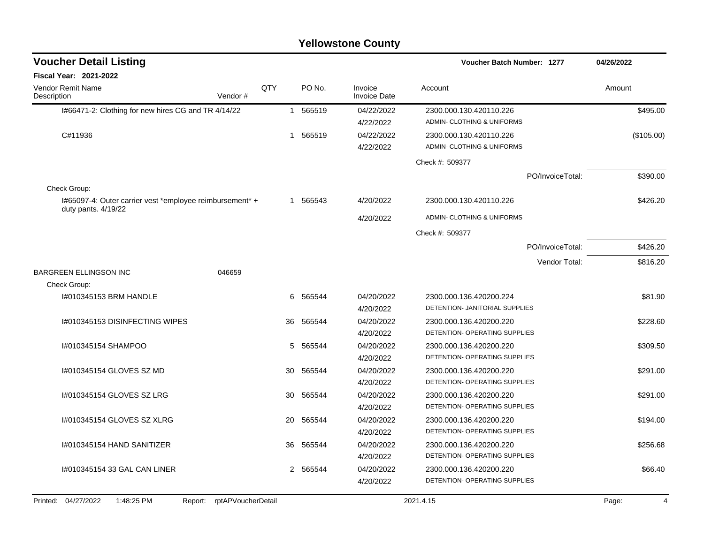| <b>Voucher Detail Listing</b>                                                     |     |          |                                | <b>Voucher Batch Number: 1277</b>                     | 04/26/2022              |
|-----------------------------------------------------------------------------------|-----|----------|--------------------------------|-------------------------------------------------------|-------------------------|
| <b>Fiscal Year: 2021-2022</b>                                                     |     |          |                                |                                                       |                         |
| Vendor Remit Name<br>Vendor#<br>Description                                       | QTY | PO No.   | Invoice<br><b>Invoice Date</b> | Account                                               | Amount                  |
| I#66471-2: Clothing for new hires CG and TR 4/14/22                               |     | 1 565519 | 04/22/2022<br>4/22/2022        | 2300.000.130.420110.226<br>ADMIN- CLOTHING & UNIFORMS | \$495.00                |
| C#11936                                                                           |     | 1 565519 | 04/22/2022<br>4/22/2022        | 2300.000.130.420110.226<br>ADMIN- CLOTHING & UNIFORMS | (\$105.00)              |
|                                                                                   |     |          |                                | Check #: 509377                                       |                         |
|                                                                                   |     |          |                                | PO/InvoiceTotal:                                      | \$390.00                |
| Check Group:                                                                      |     |          |                                |                                                       |                         |
| I#65097-4: Outer carrier vest *employee reimbursement* +<br>duty pants. $4/19/22$ |     | 1 565543 | 4/20/2022                      | 2300.000.130.420110.226                               | \$426.20                |
|                                                                                   |     |          | 4/20/2022                      | ADMIN- CLOTHING & UNIFORMS                            |                         |
|                                                                                   |     |          |                                | Check #: 509377                                       |                         |
|                                                                                   |     |          |                                | PO/InvoiceTotal:                                      | \$426.20                |
|                                                                                   |     |          |                                | Vendor Total:                                         | \$816.20                |
| <b>BARGREEN ELLINGSON INC</b><br>046659                                           |     |          |                                |                                                       |                         |
| Check Group:                                                                      |     |          |                                |                                                       |                         |
| I#010345153 BRM HANDLE                                                            | 6   | 565544   | 04/20/2022                     | 2300.000.136.420200.224                               | \$81.90                 |
|                                                                                   |     |          | 4/20/2022                      | DETENTION- JANITORIAL SUPPLIES                        |                         |
| I#010345153 DISINFECTING WIPES                                                    | 36  | 565544   | 04/20/2022                     | 2300.000.136.420200.220                               | \$228.60                |
|                                                                                   |     |          | 4/20/2022                      | DETENTION- OPERATING SUPPLIES                         |                         |
| I#010345154 SHAMPOO                                                               | 5   | 565544   | 04/20/2022                     | 2300.000.136.420200.220                               | \$309.50                |
|                                                                                   |     |          | 4/20/2022                      | DETENTION- OPERATING SUPPLIES                         |                         |
| I#010345154 GLOVES SZ MD                                                          | 30  | 565544   | 04/20/2022                     | 2300.000.136.420200.220                               | \$291.00                |
|                                                                                   |     |          | 4/20/2022                      | DETENTION- OPERATING SUPPLIES                         |                         |
| 1#010345154 GLOVES SZ LRG                                                         | 30  | 565544   | 04/20/2022                     | 2300.000.136.420200.220                               | \$291.00                |
|                                                                                   |     |          | 4/20/2022                      | DETENTION- OPERATING SUPPLIES                         |                         |
| I#010345154 GLOVES SZ XLRG                                                        | 20  | 565544   | 04/20/2022                     | 2300.000.136.420200.220                               | \$194.00                |
|                                                                                   |     |          | 4/20/2022                      | DETENTION- OPERATING SUPPLIES                         |                         |
| 1#010345154 HAND SANITIZER                                                        | 36  | 565544   | 04/20/2022                     | 2300.000.136.420200.220                               | \$256.68                |
|                                                                                   |     |          | 4/20/2022                      | DETENTION- OPERATING SUPPLIES                         |                         |
| I#010345154 33 GAL CAN LINER                                                      | 2   | 565544   | 04/20/2022                     | 2300.000.136.420200.220                               | \$66.40                 |
|                                                                                   |     |          | 4/20/2022                      | DETENTION- OPERATING SUPPLIES                         |                         |
| Printed: 04/27/2022<br>1:48:25 PM<br>Report: rptAPVoucherDetail                   |     |          |                                | 2021.4.15                                             | Page:<br>$\overline{4}$ |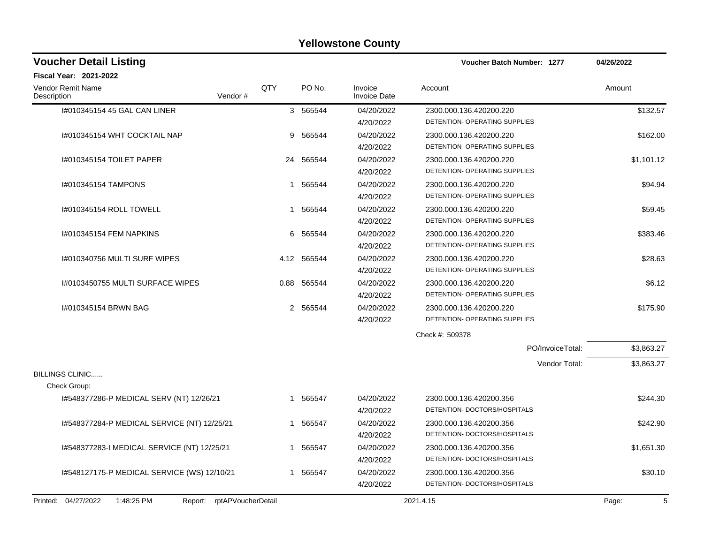| <b>Voucher Detail Listing</b>                |                    |           |                                | <b>Voucher Batch Number: 1277</b>                        | 04/26/2022 |
|----------------------------------------------|--------------------|-----------|--------------------------------|----------------------------------------------------------|------------|
| <b>Fiscal Year: 2021-2022</b>                |                    |           |                                |                                                          |            |
| Vendor Remit Name<br>Description<br>Vendor#  | QTY                | PO No.    | Invoice<br><b>Invoice Date</b> | Account                                                  | Amount     |
| I#010345154 45 GAL CAN LINER                 |                    | 3 565544  | 04/20/2022<br>4/20/2022        | 2300.000.136.420200.220<br>DETENTION- OPERATING SUPPLIES | \$132.57   |
| I#010345154 WHT COCKTAIL NAP                 | 9                  | 565544    | 04/20/2022<br>4/20/2022        | 2300.000.136.420200.220<br>DETENTION- OPERATING SUPPLIES | \$162.00   |
| 1#010345154 TOILET PAPER                     |                    | 24 565544 | 04/20/2022<br>4/20/2022        | 2300.000.136.420200.220<br>DETENTION- OPERATING SUPPLIES | \$1,101.12 |
| I#010345154 TAMPONS                          | 1                  | 565544    | 04/20/2022<br>4/20/2022        | 2300.000.136.420200.220<br>DETENTION- OPERATING SUPPLIES | \$94.94    |
| 1#010345154 ROLL TOWELL                      | 1                  | 565544    | 04/20/2022<br>4/20/2022        | 2300.000.136.420200.220<br>DETENTION- OPERATING SUPPLIES | \$59.45    |
| #010345154 FEM NAPKINS                       | 6                  | 565544    | 04/20/2022<br>4/20/2022        | 2300.000.136.420200.220<br>DETENTION- OPERATING SUPPLIES | \$383.46   |
| I#010340756 MULTI SURF WIPES                 | 4.12               | 565544    | 04/20/2022<br>4/20/2022        | 2300.000.136.420200.220<br>DETENTION- OPERATING SUPPLIES | \$28.63    |
| I#0103450755 MULTI SURFACE WIPES             | 0.88               | 565544    | 04/20/2022<br>4/20/2022        | 2300.000.136.420200.220<br>DETENTION- OPERATING SUPPLIES | \$6.12     |
| #010345154 BRWN BAG                          |                    | 2 565544  | 04/20/2022<br>4/20/2022        | 2300.000.136.420200.220<br>DETENTION- OPERATING SUPPLIES | \$175.90   |
|                                              |                    |           |                                | Check #: 509378                                          |            |
|                                              |                    |           |                                | PO/InvoiceTotal:                                         | \$3,863.27 |
| <b>BILLINGS CLINIC</b>                       |                    |           |                                | Vendor Total:                                            | \$3,863.27 |
| Check Group:                                 |                    |           |                                |                                                          |            |
| I#548377286-P MEDICAL SERV (NT) 12/26/21     |                    | 1 565547  | 04/20/2022<br>4/20/2022        | 2300.000.136.420200.356<br>DETENTION- DOCTORS/HOSPITALS  | \$244.30   |
| I#548377284-P MEDICAL SERVICE (NT) 12/25/21  |                    | 1 565547  | 04/20/2022<br>4/20/2022        | 2300.000.136.420200.356<br>DETENTION- DOCTORS/HOSPITALS  | \$242.90   |
| I#548377283-I MEDICAL SERVICE (NT) 12/25/21  |                    | 1 565547  | 04/20/2022<br>4/20/2022        | 2300.000.136.420200.356<br>DETENTION- DOCTORS/HOSPITALS  | \$1,651.30 |
| I#548127175-P MEDICAL SERVICE (WS) 12/10/21  |                    | 1 565547  | 04/20/2022<br>4/20/2022        | 2300.000.136.420200.356<br>DETENTION- DOCTORS/HOSPITALS  | \$30.10    |
| Printed: 04/27/2022<br>1:48:25 PM<br>Report: | rptAPVoucherDetail |           |                                | 2021.4.15                                                | 5<br>Page: |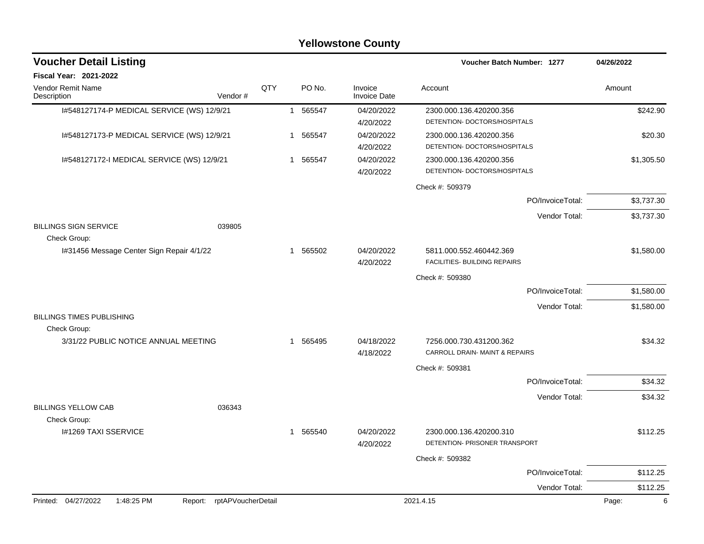|                                                  |                            |     |                        | <b>Yellowstone County</b>      |                                                           |                  |            |
|--------------------------------------------------|----------------------------|-----|------------------------|--------------------------------|-----------------------------------------------------------|------------------|------------|
| <b>Voucher Detail Listing</b>                    |                            |     |                        |                                | Voucher Batch Number: 1277                                |                  | 04/26/2022 |
| <b>Fiscal Year: 2021-2022</b>                    |                            |     |                        |                                |                                                           |                  |            |
| Vendor Remit Name<br>Description                 | Vendor#                    | QTY | PO No.                 | Invoice<br><b>Invoice Date</b> | Account                                                   |                  | Amount     |
| I#548127174-P MEDICAL SERVICE (WS) 12/9/21       |                            |     | 1 565547               | 04/20/2022<br>4/20/2022        | 2300.000.136.420200.356<br>DETENTION- DOCTORS/HOSPITALS   |                  | \$242.90   |
| 1#548127173-P MEDICAL SERVICE (WS) 12/9/21       |                            |     | 1 565547               | 04/20/2022<br>4/20/2022        | 2300.000.136.420200.356<br>DETENTION- DOCTORS/HOSPITALS   |                  | \$20.30    |
| I#548127172-I MEDICAL SERVICE (WS) 12/9/21       |                            |     | 565547<br>1            | 04/20/2022<br>4/20/2022        | 2300.000.136.420200.356<br>DETENTION- DOCTORS/HOSPITALS   |                  | \$1,305.50 |
|                                                  |                            |     |                        |                                | Check #: 509379                                           |                  |            |
|                                                  |                            |     |                        |                                |                                                           | PO/InvoiceTotal: | \$3,737.30 |
| <b>BILLINGS SIGN SERVICE</b>                     | 039805                     |     |                        |                                |                                                           | Vendor Total:    | \$3,737.30 |
| Check Group:                                     |                            |     |                        |                                |                                                           |                  |            |
| I#31456 Message Center Sign Repair 4/1/22        |                            |     | 565502<br>1            | 04/20/2022<br>4/20/2022        | 5811.000.552.460442.369<br>FACILITIES- BUILDING REPAIRS   |                  | \$1,580.00 |
|                                                  |                            |     |                        |                                | Check #: 509380                                           |                  |            |
|                                                  |                            |     |                        |                                |                                                           | PO/InvoiceTotal: | \$1,580.00 |
|                                                  |                            |     |                        |                                |                                                           | Vendor Total:    | \$1,580.00 |
| <b>BILLINGS TIMES PUBLISHING</b><br>Check Group: |                            |     |                        |                                |                                                           |                  |            |
| 3/31/22 PUBLIC NOTICE ANNUAL MEETING             |                            |     | 565495<br>1            | 04/18/2022<br>4/18/2022        | 7256.000.730.431200.362<br>CARROLL DRAIN- MAINT & REPAIRS |                  | \$34.32    |
|                                                  |                            |     |                        |                                | Check #: 509381                                           |                  |            |
|                                                  |                            |     |                        |                                |                                                           | PO/InvoiceTotal: | \$34.32    |
|                                                  |                            |     |                        |                                |                                                           | Vendor Total:    | \$34.32    |
| <b>BILLINGS YELLOW CAB</b><br>Check Group:       | 036343                     |     |                        |                                |                                                           |                  |            |
| I#1269 TAXI SSERVICE                             |                            |     | 565540<br>$\mathbf{1}$ | 04/20/2022<br>4/20/2022        | 2300.000.136.420200.310<br>DETENTION- PRISONER TRANSPORT  |                  | \$112.25   |
|                                                  |                            |     |                        |                                | Check #: 509382                                           |                  |            |
|                                                  |                            |     |                        |                                |                                                           | PO/InvoiceTotal: | \$112.25   |
|                                                  |                            |     |                        |                                |                                                           | Vendor Total:    | \$112.25   |
| Printed: 04/27/2022<br>1:48:25 PM                | Report: rptAPVoucherDetail |     |                        |                                | 2021.4.15                                                 |                  | 6<br>Page: |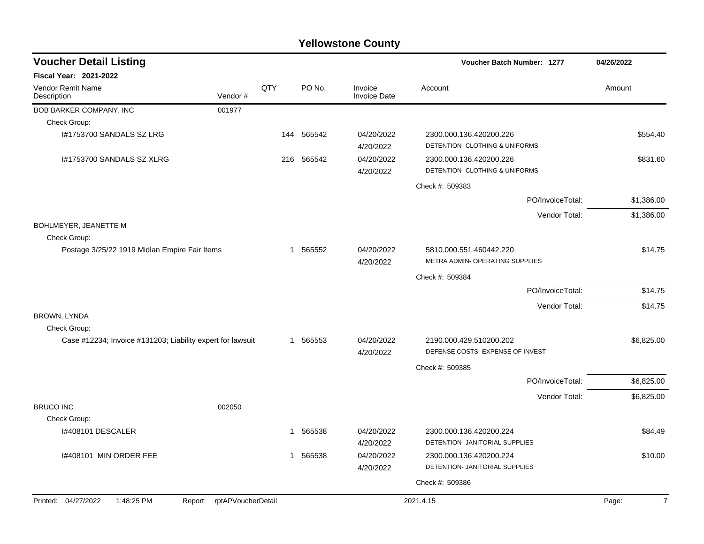| <b>Voucher Detail Listing</b>                              |                            |     |            |                                | Voucher Batch Number: 1277                                  |                  | 04/26/2022              |
|------------------------------------------------------------|----------------------------|-----|------------|--------------------------------|-------------------------------------------------------------|------------------|-------------------------|
| <b>Fiscal Year: 2021-2022</b>                              |                            |     |            |                                |                                                             |                  |                         |
| <b>Vendor Remit Name</b><br>Description                    | Vendor#                    | QTY | PO No.     | Invoice<br><b>Invoice Date</b> | Account                                                     |                  | Amount                  |
| BOB BARKER COMPANY, INC                                    | 001977                     |     |            |                                |                                                             |                  |                         |
| Check Group:                                               |                            |     |            |                                |                                                             |                  |                         |
| I#1753700 SANDALS SZ LRG                                   |                            |     | 144 565542 | 04/20/2022<br>4/20/2022        | 2300.000.136.420200.226<br>DETENTION- CLOTHING & UNIFORMS   |                  | \$554.40                |
| I#1753700 SANDALS SZ XLRG                                  |                            |     | 216 565542 | 04/20/2022<br>4/20/2022        | 2300.000.136.420200.226<br>DETENTION- CLOTHING & UNIFORMS   |                  | \$831.60                |
|                                                            |                            |     |            |                                | Check #: 509383                                             |                  |                         |
|                                                            |                            |     |            |                                |                                                             | PO/InvoiceTotal: | \$1,386.00              |
|                                                            |                            |     |            |                                |                                                             | Vendor Total:    | \$1,386.00              |
| BOHLMEYER, JEANETTE M<br>Check Group:                      |                            |     |            |                                |                                                             |                  |                         |
| Postage 3/25/22 1919 Midlan Empire Fair Items              |                            | 1   | 565552     | 04/20/2022<br>4/20/2022        | 5810.000.551.460442.220<br>METRA ADMIN- OPERATING SUPPLIES  |                  | \$14.75                 |
|                                                            |                            |     |            |                                | Check #: 509384                                             |                  |                         |
|                                                            |                            |     |            |                                |                                                             | PO/InvoiceTotal: | \$14.75                 |
|                                                            |                            |     |            |                                |                                                             | Vendor Total:    | \$14.75                 |
| BROWN, LYNDA<br>Check Group:                               |                            |     |            |                                |                                                             |                  |                         |
| Case #12234; Invoice #131203; Liability expert for lawsuit |                            |     | 1 565553   | 04/20/2022<br>4/20/2022        | 2190.000.429.510200.202<br>DEFENSE COSTS- EXPENSE OF INVEST |                  | \$6,825.00              |
|                                                            |                            |     |            |                                | Check #: 509385                                             |                  |                         |
|                                                            |                            |     |            |                                |                                                             | PO/InvoiceTotal: | \$6,825.00              |
| <b>BRUCO INC</b>                                           | 002050                     |     |            |                                |                                                             | Vendor Total:    | \$6,825.00              |
| Check Group:                                               |                            |     |            |                                |                                                             |                  |                         |
| I#408101 DESCALER                                          |                            | 1   | 565538     | 04/20/2022<br>4/20/2022        | 2300.000.136.420200.224<br>DETENTION- JANITORIAL SUPPLIES   |                  | \$84.49                 |
| I#408101 MIN ORDER FEE                                     |                            | 1   | 565538     | 04/20/2022<br>4/20/2022        | 2300.000.136.420200.224<br>DETENTION- JANITORIAL SUPPLIES   |                  | \$10.00                 |
|                                                            |                            |     |            |                                | Check #: 509386                                             |                  |                         |
|                                                            |                            |     |            |                                |                                                             |                  |                         |
| Printed: 04/27/2022<br>1:48:25 PM                          | Report: rptAPVoucherDetail |     |            |                                | 2021.4.15                                                   |                  | Page:<br>$\overline{7}$ |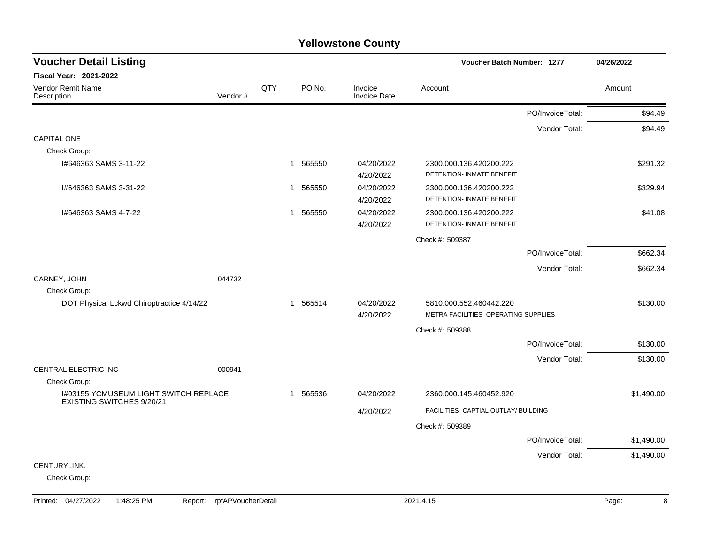#### PO/InvoiceTotal: \$94.49 Vendor Total: \$94.49 CAPITAL ONE Check Group: I#646363 SAMS 3-11-22 1 565550 04/20/2022 2300.000.136.420200.222 \$291.32 4/20/2022 DETENTION- INMATE BENEFIT I#646363 SAMS 3-31-22 1 565550 04/20/2022 2300.000.136.420200.222 \$329.94 4/20/2022 DETENTION- INMATE BENEFIT I#646363 SAMS 4-7-22 1 565550 04/20/2022 2300.000.136.420200.222 \$41.08 4/20/2022 DETENTION- INMATE BENEFIT Check #: 509387 PO/InvoiceTotal: \$662.34 Vendor Total: \$662.34 CARNEY, JOHN 044732 Check Group: DOT Physical Lckwd Chiroptractice 4/14/22 1 565514 04/20/2022 5810.000.552.460442.220 \$130.00 4/20/2022 METRA FACILITIES- OPERATING SUPPLIES Check #: 509388 PO/InvoiceTotal: \$130.00 Vendor Total: \$130.00 CENTRAL ELECTRIC INC 000941 Check Group: I#03155 YCMUSEUM LIGHT SWITCH REPLACE EXISTING SWITCHES 9/20/21 1 565536 04/20/2022 2360.000.145.460452.920 \$1,490.00 4/20/2022 FACILITIES- CAPTIAL OUTLAY/ BUILDING Check #: 509389 PO/InvoiceTotal: \$1,490.00 Vendor Total: \$1,490.00 CENTURYLINK. Check Group: **Voucher Batch Number: Yellowstone County** Vendor Remit Name **Description Voucher Detail Listing Fiscal Year: 2021-2022 1277 04/26/2022** PO No. Invoice Account Amount Amount Amount Amount Vendor # **QTY** Invoice Date

#### Printed: 04/27/2022 1:48:25 PM Report: rptAPVoucherDetail 2021.4.15 2021.4.15 Page: 8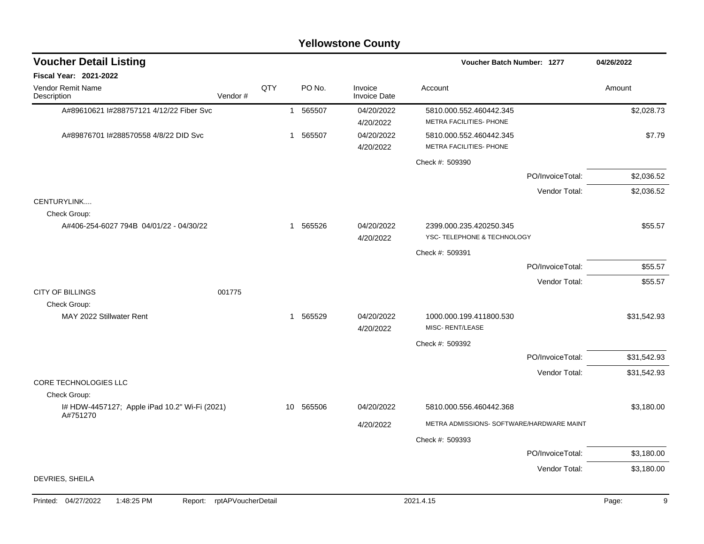|                                                           |         |     |                        | <b>Yellowstone County</b>      |                                                    |                  |             |
|-----------------------------------------------------------|---------|-----|------------------------|--------------------------------|----------------------------------------------------|------------------|-------------|
| <b>Voucher Detail Listing</b>                             |         |     |                        |                                | Voucher Batch Number: 1277                         |                  | 04/26/2022  |
| <b>Fiscal Year: 2021-2022</b>                             |         |     |                        |                                |                                                    |                  |             |
| Vendor Remit Name<br>Description                          | Vendor# | QTY | PO No.                 | Invoice<br><b>Invoice Date</b> | Account                                            |                  | Amount      |
| A#89610621 I#288757121 4/12/22 Fiber Svc                  |         |     | 565507<br>$\mathbf{1}$ | 04/20/2022                     | 5810.000.552.460442.345                            |                  | \$2,028.73  |
|                                                           |         |     |                        | 4/20/2022                      | METRA FACILITIES- PHONE                            |                  |             |
| A#89876701 I#288570558 4/8/22 DID Svc                     |         |     | 565507<br>1            | 04/20/2022<br>4/20/2022        | 5810.000.552.460442.345<br>METRA FACILITIES- PHONE |                  | \$7.79      |
|                                                           |         |     |                        |                                | Check #: 509390                                    |                  |             |
|                                                           |         |     |                        |                                |                                                    | PO/InvoiceTotal: | \$2,036.52  |
|                                                           |         |     |                        |                                |                                                    | Vendor Total:    | \$2,036.52  |
| CENTURYLINK<br>Check Group:                               |         |     |                        |                                |                                                    |                  |             |
| A#406-254-6027 794B 04/01/22 - 04/30/22                   |         |     | 1 565526               | 04/20/2022                     | 2399.000.235.420250.345                            |                  | \$55.57     |
|                                                           |         |     |                        | 4/20/2022                      | YSC-TELEPHONE & TECHNOLOGY                         |                  |             |
|                                                           |         |     |                        |                                | Check #: 509391                                    |                  |             |
|                                                           |         |     |                        |                                |                                                    | PO/InvoiceTotal: | \$55.57     |
|                                                           |         |     |                        |                                |                                                    | Vendor Total:    | \$55.57     |
| <b>CITY OF BILLINGS</b><br>Check Group:                   | 001775  |     |                        |                                |                                                    |                  |             |
| MAY 2022 Stillwater Rent                                  |         |     | 1 565529               | 04/20/2022<br>4/20/2022        | 1000.000.199.411800.530<br>MISC-RENT/LEASE         |                  | \$31,542.93 |
|                                                           |         |     |                        |                                | Check #: 509392                                    |                  |             |
|                                                           |         |     |                        |                                |                                                    | PO/InvoiceTotal: | \$31,542.93 |
|                                                           |         |     |                        |                                |                                                    | Vendor Total:    | \$31,542.93 |
| CORE TECHNOLOGIES LLC                                     |         |     |                        |                                |                                                    |                  |             |
| Check Group:                                              |         |     |                        |                                |                                                    |                  |             |
| I# HDW-4457127; Apple iPad 10.2" Wi-Fi (2021)<br>A#751270 |         |     | 565506<br>10           | 04/20/2022                     | 5810.000.556.460442.368                            |                  | \$3,180.00  |
|                                                           |         |     |                        | 4/20/2022                      | METRA ADMISSIONS- SOFTWARE/HARDWARE MAINT          |                  |             |
|                                                           |         |     |                        |                                | Check #: 509393                                    |                  |             |
|                                                           |         |     |                        |                                |                                                    | PO/InvoiceTotal: | \$3,180.00  |
|                                                           |         |     |                        |                                |                                                    | Vendor Total:    | \$3,180.00  |
| DEVRIES, SHEILA                                           |         |     |                        |                                |                                                    |                  |             |

#### Printed: 04/27/2022 1:48:25 PM Report: rptAPVoucherDetail 2021.4.15 2021.4.15 Page: 9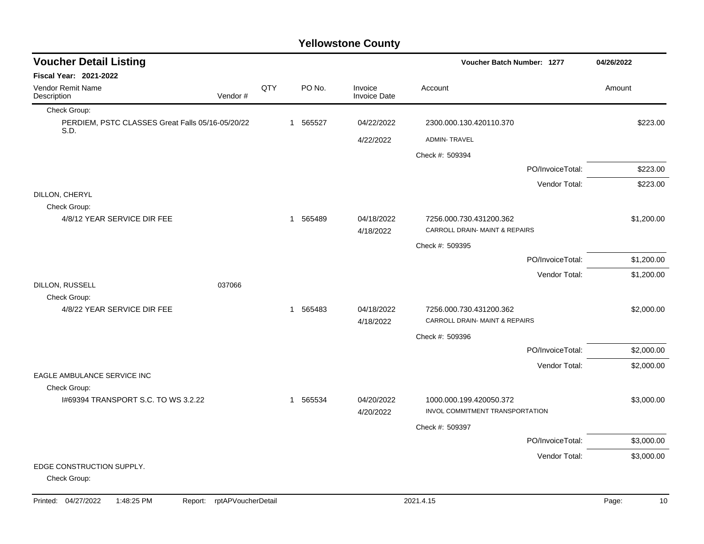### Check Group: PERDIEM, PSTC CLASSES Great Falls 05/16-05/20/22 S.D. 1 565527 04/22/2022 2300.000.130.420110.370 \$223.00 4/22/2022 ADMIN- TRAVEL Check #: 509394 PO/InvoiceTotal: \$223.00 Vendor Total: \$223.00 DILLON, CHERYL Check Group: 4/8/12 YEAR SERVICE DIR FEE 1200.00 1 565489 04/18/2022 7256.000.730.431200.362 \$1,200.00 4/18/2022 CARROLL DRAIN- MAINT & REPAIRS Check #: 509395 PO/InvoiceTotal: \$1,200.00 Vendor Total: \$1,200.00 DILLON, RUSSELL 037066 Check Group: 4/8/22 YEAR SERVICE DIR FEE 1 1 565483 1 565483 04/18/2022 7256.000.730.431200.362 \$2,000.00 4/18/2022 CARROLL DRAIN- MAINT & REPAIRS Check #: 509396 PO/InvoiceTotal: \$2,000.00 Vendor Total: \$2,000.00 EAGLE AMBULANCE SERVICE INC Check Group: I#69394 TRANSPORT S.C. TO WS 3.2.22 1 565534 04/20/2022 1000.000.199.420050.372 \$3,000.00 4/20/2022 INVOL COMMITMENT TRANSPORTATION Check #: 509397 PO/InvoiceTotal: \$3,000.00 Vendor Total: \$3,000.00 EDGE CONSTRUCTION SUPPLY. Check Group: **Voucher Batch Number: Yellowstone County** Vendor Remit Name Description **Voucher Detail Listing Fiscal Year: 2021-2022 1277 04/26/2022** PO No. Invoice Account Amount Amount Amount Amount Vendor # **QTY** Invoice Date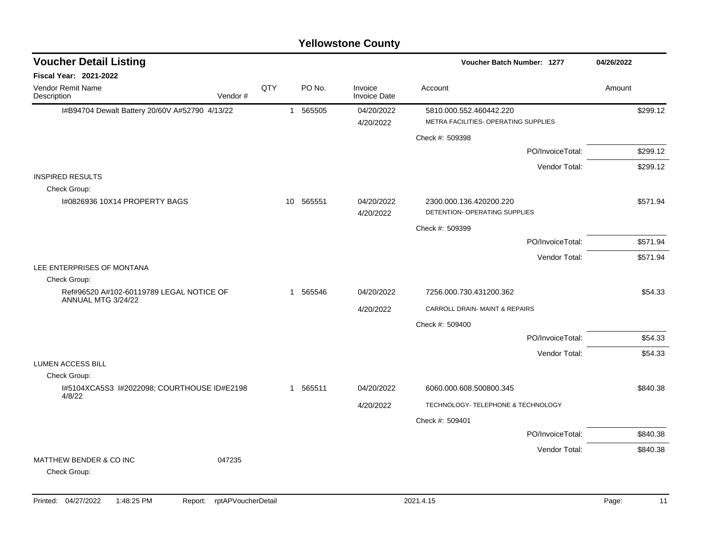#### I#B94704 Dewalt Battery 20/60V A#52790 4/13/22 1 565505 04/20/2022 5810.000.552.460442.220 \$299.12 4/20/2022 METRA FACILITIES- OPERATING SUPPLIES Check #: 509398 PO/InvoiceTotal: \$299.12 Vendor Total: \$299.12 INSPIRED RESULTS Check Group: I#0826936 10X14 PROPERTY BAGS 100 10 565551 124/20/2022 2300.000.136.420200.220 4/20/2022 DETENTION- OPERATING SUPPLIES Check #: 509399 PO/InvoiceTotal: \$571.94 Vendor Total: \$571.94 LEE ENTERPRISES OF MONTANA Check Group: Ref#96520 A#102-60119789 LEGAL NOTICE OF ANNUAL MTG 3/24/22 1 565546 04/20/2022 7256.000.730.431200.362 \$54.33 4/20/2022 CARROLL DRAIN- MAINT & REPAIRS Check #: 509400 PO/InvoiceTotal: \$54.33 Vendor Total: \$54.33 LUMEN ACCESS BILL Check Group: I#5104XCA5S3 I#2022098; COURTHOUSE ID#E2198 4/8/22 1 565511 04/20/2022 6060.000.608.500800.345 \$840.38 4/20/2022 TECHNOLOGY- TELEPHONE & TECHNOLOGY Check #: 509401 PO/InvoiceTotal: \$840.38 Vendor Total: \$840.38 MATTHEW BENDER & CO INC 047235 Check Group: **Voucher Batch Number:** Vendor Remit Name **Description Voucher Detail Listing Fiscal Year: 2021-2022 1277 04/26/2022** PO No. Invoice Account Amount Amount Amount Amount Vendor # **QTY** Invoice Date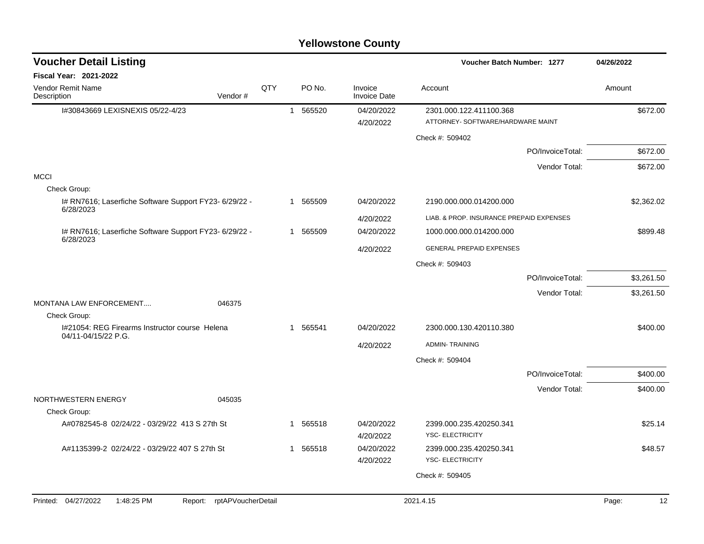| <b>Voucher Detail Listing</b>                                         |                            |     |              |          |                                | <b>Voucher Batch Number: 1277</b>                            | 04/26/2022       |             |
|-----------------------------------------------------------------------|----------------------------|-----|--------------|----------|--------------------------------|--------------------------------------------------------------|------------------|-------------|
| <b>Fiscal Year: 2021-2022</b>                                         |                            |     |              |          |                                |                                                              |                  |             |
| Vendor Remit Name<br>Description                                      | Vendor#                    | QTY |              | PO No.   | Invoice<br><b>Invoice Date</b> | Account                                                      |                  | Amount      |
| I#30843669 LEXISNEXIS 05/22-4/23                                      |                            |     |              | 1 565520 | 04/20/2022<br>4/20/2022        | 2301.000.122.411100.368<br>ATTORNEY- SOFTWARE/HARDWARE MAINT |                  | \$672.00    |
|                                                                       |                            |     |              |          |                                | Check #: 509402                                              |                  |             |
|                                                                       |                            |     |              |          |                                |                                                              | PO/InvoiceTotal: | \$672.00    |
|                                                                       |                            |     |              |          |                                |                                                              | Vendor Total:    | \$672.00    |
| <b>MCCI</b>                                                           |                            |     |              |          |                                |                                                              |                  |             |
| Check Group:                                                          |                            |     |              |          |                                |                                                              |                  |             |
| I# RN7616; Laserfiche Software Support FY23- 6/29/22 -<br>6/28/2023   |                            |     |              | 1 565509 | 04/20/2022                     | 2190.000.000.014200.000                                      |                  | \$2,362.02  |
|                                                                       |                            |     |              |          | 4/20/2022                      | LIAB, & PROP. INSURANCE PREPAID EXPENSES                     |                  |             |
| I# RN7616; Laserfiche Software Support FY23- 6/29/22 -<br>6/28/2023   |                            |     |              | 1 565509 | 04/20/2022                     | 1000.000.000.014200.000                                      |                  | \$899.48    |
|                                                                       |                            |     |              |          | 4/20/2022                      | <b>GENERAL PREPAID EXPENSES</b>                              |                  |             |
|                                                                       |                            |     |              |          |                                | Check #: 509403                                              |                  |             |
|                                                                       |                            |     |              |          |                                |                                                              | PO/InvoiceTotal: | \$3,261.50  |
|                                                                       |                            |     |              |          |                                |                                                              | Vendor Total:    | \$3,261.50  |
| MONTANA LAW ENFORCEMENT                                               | 046375                     |     |              |          |                                |                                                              |                  |             |
| Check Group:                                                          |                            |     |              |          |                                |                                                              |                  |             |
| I#21054: REG Firearms Instructor course Helena<br>04/11-04/15/22 P.G. |                            |     | $\mathbf{1}$ | 565541   | 04/20/2022                     | 2300.000.130.420110.380                                      |                  | \$400.00    |
|                                                                       |                            |     |              |          | 4/20/2022                      | <b>ADMIN-TRAINING</b>                                        |                  |             |
|                                                                       |                            |     |              |          |                                | Check #: 509404                                              |                  |             |
|                                                                       |                            |     |              |          |                                |                                                              | PO/InvoiceTotal: | \$400.00    |
|                                                                       |                            |     |              |          |                                |                                                              | Vendor Total:    | \$400.00    |
| NORTHWESTERN ENERGY<br>Check Group:                                   | 045035                     |     |              |          |                                |                                                              |                  |             |
| A#0782545-8 02/24/22 - 03/29/22 413 S 27th St                         |                            |     | 1            | 565518   | 04/20/2022                     | 2399.000.235.420250.341                                      |                  | \$25.14     |
|                                                                       |                            |     |              |          | 4/20/2022                      | <b>YSC- ELECTRICITY</b>                                      |                  |             |
| A#1135399-2 02/24/22 - 03/29/22 407 S 27th St                         |                            |     | $\mathbf{1}$ | 565518   | 04/20/2022                     | 2399.000.235.420250.341                                      |                  | \$48.57     |
|                                                                       |                            |     |              |          | 4/20/2022                      | YSC- ELECTRICITY                                             |                  |             |
|                                                                       |                            |     |              |          |                                | Check #: 509405                                              |                  |             |
| Printed: 04/27/2022<br>1:48:25 PM                                     | Report: rptAPVoucherDetail |     |              |          |                                | 2021.4.15                                                    |                  | 12<br>Page: |
|                                                                       |                            |     |              |          |                                |                                                              |                  |             |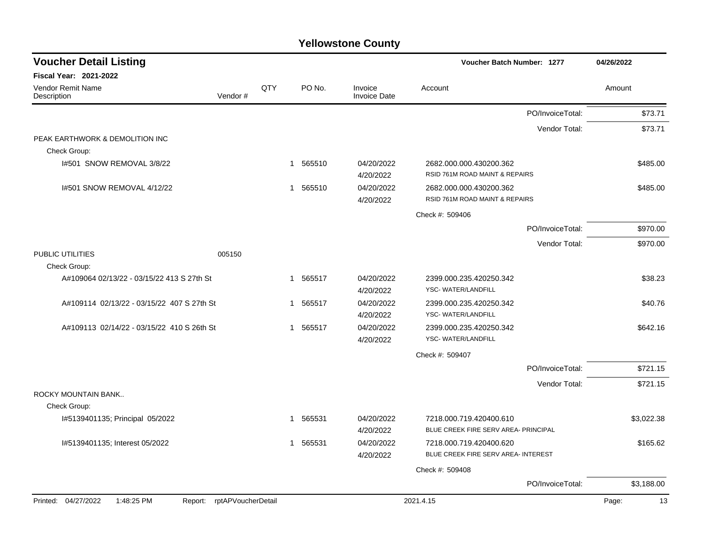| <b>Voucher Detail Listing</b>              |         |     |                        |                                | Voucher Batch Number: 1277                                     |                  | 04/26/2022 |
|--------------------------------------------|---------|-----|------------------------|--------------------------------|----------------------------------------------------------------|------------------|------------|
| <b>Fiscal Year: 2021-2022</b>              |         |     |                        |                                |                                                                |                  |            |
| Vendor Remit Name<br>Description           | Vendor# | QTY | PO No.                 | Invoice<br><b>Invoice Date</b> | Account                                                        |                  | Amount     |
|                                            |         |     |                        |                                |                                                                | PO/InvoiceTotal: | \$73.71    |
|                                            |         |     |                        |                                |                                                                | Vendor Total:    | \$73.71    |
| PEAK EARTHWORK & DEMOLITION INC            |         |     |                        |                                |                                                                |                  |            |
| Check Group:                               |         |     |                        |                                |                                                                |                  |            |
| 1#501 SNOW REMOVAL 3/8/22                  |         |     | 565510<br>1            | 04/20/2022<br>4/20/2022        | 2682.000.000.430200.362<br>RSID 761M ROAD MAINT & REPAIRS      |                  | \$485.00   |
| I#501 SNOW REMOVAL 4/12/22                 |         |     | 1 565510               | 04/20/2022                     | 2682.000.000.430200.362                                        |                  | \$485.00   |
|                                            |         |     |                        | 4/20/2022                      | RSID 761M ROAD MAINT & REPAIRS                                 |                  |            |
|                                            |         |     |                        |                                | Check #: 509406                                                |                  |            |
|                                            |         |     |                        |                                |                                                                | PO/InvoiceTotal: | \$970.00   |
|                                            |         |     |                        |                                |                                                                | Vendor Total:    | \$970.00   |
| PUBLIC UTILITIES<br>Check Group:           | 005150  |     |                        |                                |                                                                |                  |            |
| A#109064 02/13/22 - 03/15/22 413 S 27th St |         |     | 565517<br>1            | 04/20/2022                     | 2399.000.235.420250.342                                        |                  | \$38.23    |
|                                            |         |     |                        | 4/20/2022                      | YSC-WATER/LANDFILL                                             |                  |            |
| A#109114 02/13/22 - 03/15/22 407 S 27th St |         |     | 565517<br>1            | 04/20/2022                     | 2399.000.235.420250.342                                        |                  | \$40.76    |
|                                            |         |     |                        | 4/20/2022                      | YSC-WATER/LANDFILL                                             |                  |            |
| A#109113 02/14/22 - 03/15/22 410 S 26th St |         |     | 1 565517               | 04/20/2022                     | 2399.000.235.420250.342                                        |                  | \$642.16   |
|                                            |         |     |                        | 4/20/2022                      | YSC-WATER/LANDFILL                                             |                  |            |
|                                            |         |     |                        |                                | Check #: 509407                                                |                  |            |
|                                            |         |     |                        |                                |                                                                | PO/InvoiceTotal: | \$721.15   |
|                                            |         |     |                        |                                |                                                                | Vendor Total:    | \$721.15   |
| ROCKY MOUNTAIN BANK                        |         |     |                        |                                |                                                                |                  |            |
| Check Group:                               |         |     |                        |                                |                                                                |                  |            |
| I#5139401135; Principal 05/2022            |         |     | 565531<br>$\mathbf{1}$ | 04/20/2022                     | 7218.000.719.420400.610                                        |                  | \$3,022.38 |
|                                            |         |     |                        | 4/20/2022                      | BLUE CREEK FIRE SERV AREA- PRINCIPAL                           |                  |            |
| I#5139401135; Interest 05/2022             |         |     | 1 565531               | 04/20/2022<br>4/20/2022        | 7218.000.719.420400.620<br>BLUE CREEK FIRE SERV AREA- INTEREST |                  | \$165.62   |
|                                            |         |     |                        |                                |                                                                |                  |            |
|                                            |         |     |                        |                                | Check #: 509408                                                | PO/InvoiceTotal: | \$3,188.00 |
|                                            |         |     |                        |                                |                                                                |                  |            |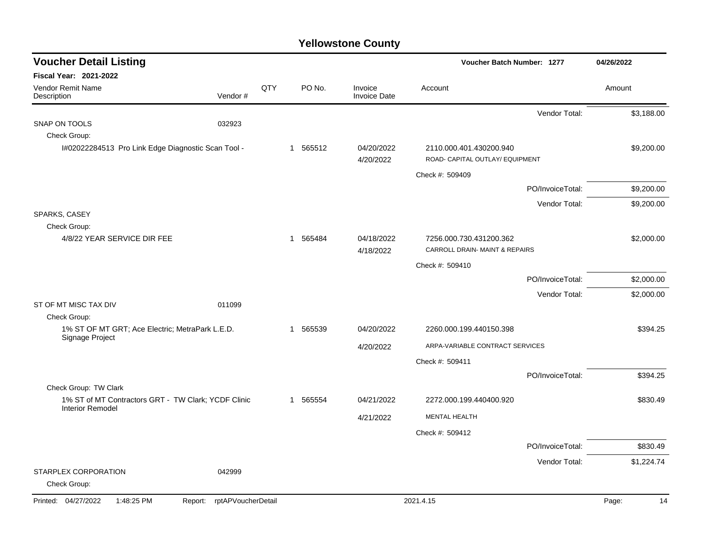| <b>Voucher Detail Listing</b>                                   |                               |     |                        |                                | Voucher Batch Number: 1277                                 |                  | 04/26/2022  |
|-----------------------------------------------------------------|-------------------------------|-----|------------------------|--------------------------------|------------------------------------------------------------|------------------|-------------|
| <b>Fiscal Year: 2021-2022</b>                                   |                               |     |                        |                                |                                                            |                  |             |
| <b>Vendor Remit Name</b><br>Description                         | Vendor#                       | QTY | PO No.                 | Invoice<br><b>Invoice Date</b> | Account                                                    |                  | Amount      |
|                                                                 |                               |     |                        |                                |                                                            | Vendor Total:    | \$3,188.00  |
| SNAP ON TOOLS                                                   | 032923                        |     |                        |                                |                                                            |                  |             |
| Check Group:                                                    |                               |     |                        |                                |                                                            |                  |             |
| I#02022284513 Pro Link Edge Diagnostic Scan Tool -              |                               |     | 565512<br>$\mathbf{1}$ | 04/20/2022<br>4/20/2022        | 2110.000.401.430200.940<br>ROAD- CAPITAL OUTLAY/ EQUIPMENT |                  | \$9,200.00  |
|                                                                 |                               |     |                        |                                | Check #: 509409                                            |                  |             |
|                                                                 |                               |     |                        |                                |                                                            | PO/InvoiceTotal: | \$9,200.00  |
|                                                                 |                               |     |                        |                                |                                                            | Vendor Total:    | \$9,200.00  |
| SPARKS, CASEY                                                   |                               |     |                        |                                |                                                            |                  |             |
| Check Group:                                                    |                               |     |                        |                                |                                                            |                  |             |
| 4/8/22 YEAR SERVICE DIR FEE                                     |                               |     | 565484<br>$\mathbf{1}$ | 04/18/2022<br>4/18/2022        | 7256.000.730.431200.362<br>CARROLL DRAIN- MAINT & REPAIRS  |                  | \$2,000.00  |
|                                                                 |                               |     |                        |                                | Check #: 509410                                            |                  |             |
|                                                                 |                               |     |                        |                                |                                                            | PO/InvoiceTotal: | \$2,000.00  |
|                                                                 |                               |     |                        |                                |                                                            | Vendor Total:    | \$2,000.00  |
| ST OF MT MISC TAX DIV                                           | 011099                        |     |                        |                                |                                                            |                  |             |
| Check Group:<br>1% ST OF MT GRT; Ace Electric; MetraPark L.E.D. |                               |     | 565539<br>$\mathbf{1}$ | 04/20/2022                     | 2260.000.199.440150.398                                    |                  | \$394.25    |
| Signage Project                                                 |                               |     |                        |                                |                                                            |                  |             |
|                                                                 |                               |     |                        | 4/20/2022                      | ARPA-VARIABLE CONTRACT SERVICES                            |                  |             |
|                                                                 |                               |     |                        |                                | Check #: 509411                                            |                  |             |
| Check Group: TW Clark                                           |                               |     |                        |                                |                                                            | PO/InvoiceTotal: | \$394.25    |
| 1% ST of MT Contractors GRT - TW Clark; YCDF Clinic             |                               |     | 1 565554               | 04/21/2022                     | 2272.000.199.440400.920                                    |                  | \$830.49    |
| <b>Interior Remodel</b>                                         |                               |     |                        | 4/21/2022                      | <b>MENTAL HEALTH</b>                                       |                  |             |
|                                                                 |                               |     |                        |                                | Check #: 509412                                            |                  |             |
|                                                                 |                               |     |                        |                                |                                                            | PO/InvoiceTotal: | \$830.49    |
|                                                                 |                               |     |                        |                                |                                                            | Vendor Total:    | \$1,224.74  |
| STARPLEX CORPORATION<br>Check Group:                            | 042999                        |     |                        |                                |                                                            |                  |             |
| Printed: 04/27/2022<br>1:48:25 PM                               | rptAPVoucherDetail<br>Report: |     |                        |                                | 2021.4.15                                                  |                  | Page:<br>14 |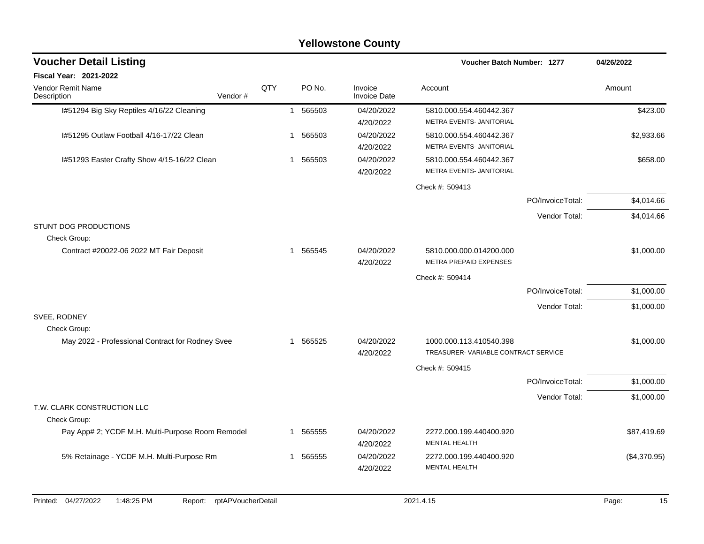|                                                  |                            |     |                        | <b>Yellowstone County</b>      |                                                                |                  |              |
|--------------------------------------------------|----------------------------|-----|------------------------|--------------------------------|----------------------------------------------------------------|------------------|--------------|
| <b>Voucher Detail Listing</b>                    |                            |     |                        |                                | <b>Voucher Batch Number: 1277</b>                              |                  | 04/26/2022   |
| Fiscal Year: 2021-2022                           |                            |     |                        |                                |                                                                |                  |              |
| Vendor Remit Name<br>Description                 | Vendor#                    | QTY | PO No.                 | Invoice<br><b>Invoice Date</b> | Account                                                        |                  | Amount       |
| I#51294 Big Sky Reptiles 4/16/22 Cleaning        |                            |     | 565503<br>$\mathbf{1}$ | 04/20/2022<br>4/20/2022        | 5810.000.554.460442.367<br>METRA EVENTS- JANITORIAL            |                  | \$423.00     |
| 1#51295 Outlaw Football 4/16-17/22 Clean         |                            |     | 565503<br>1            | 04/20/2022<br>4/20/2022        | 5810.000.554.460442.367<br>METRA EVENTS- JANITORIAL            |                  | \$2,933.66   |
| I#51293 Easter Crafty Show 4/15-16/22 Clean      |                            |     | 1 565503               | 04/20/2022<br>4/20/2022        | 5810.000.554.460442.367<br>METRA EVENTS- JANITORIAL            |                  | \$658.00     |
|                                                  |                            |     |                        |                                | Check #: 509413                                                |                  |              |
|                                                  |                            |     |                        |                                |                                                                | PO/InvoiceTotal: | \$4,014.66   |
| STUNT DOG PRODUCTIONS                            |                            |     |                        |                                |                                                                | Vendor Total:    | \$4,014.66   |
| Check Group:                                     |                            |     |                        |                                |                                                                |                  |              |
| Contract #20022-06 2022 MT Fair Deposit          |                            |     | 1 565545               | 04/20/2022<br>4/20/2022        | 5810.000.000.014200.000<br>METRA PREPAID EXPENSES              |                  | \$1,000.00   |
|                                                  |                            |     |                        |                                | Check #: 509414                                                |                  |              |
|                                                  |                            |     |                        |                                |                                                                | PO/InvoiceTotal: | \$1,000.00   |
|                                                  |                            |     |                        |                                |                                                                | Vendor Total:    | \$1,000.00   |
| SVEE, RODNEY<br>Check Group:                     |                            |     |                        |                                |                                                                |                  |              |
| May 2022 - Professional Contract for Rodney Svee |                            |     | 1 565525               | 04/20/2022<br>4/20/2022        | 1000.000.113.410540.398<br>TREASURER-VARIABLE CONTRACT SERVICE |                  | \$1,000.00   |
|                                                  |                            |     |                        |                                | Check #: 509415                                                |                  |              |
|                                                  |                            |     |                        |                                |                                                                | PO/InvoiceTotal: | \$1,000.00   |
|                                                  |                            |     |                        |                                |                                                                | Vendor Total:    | \$1,000.00   |
| T.W. CLARK CONSTRUCTION LLC                      |                            |     |                        |                                |                                                                |                  |              |
| Check Group:                                     |                            |     |                        |                                |                                                                |                  |              |
| Pay App# 2; YCDF M.H. Multi-Purpose Room Remodel |                            |     | 1 565555               | 04/20/2022<br>4/20/2022        | 2272.000.199.440400.920<br>MENTAL HEALTH                       |                  | \$87,419.69  |
| 5% Retainage - YCDF M.H. Multi-Purpose Rm        |                            |     | 1 565555               | 04/20/2022<br>4/20/2022        | 2272.000.199.440400.920<br>MENTAL HEALTH                       |                  | (\$4,370.95) |
| Printed: 04/27/2022<br>1:48:25 PM                | Report: rptAPVoucherDetail |     |                        |                                | 2021.4.15                                                      |                  | Page:<br>15  |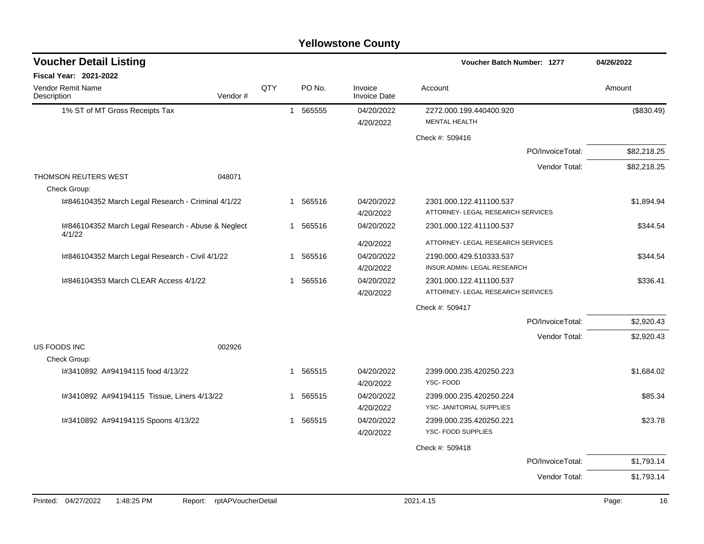### 1% ST of MT Gross Receipts Tax 1 565555 04/20/2022 2272.000.199.440400.920 (\$830.49) 4/20/2022 MENTAL HEALTH Check #: 509416 PO/InvoiceTotal: \$82,218.25 Vendor Total: \$82,218.25 THOMSON REUTERS WEST 048071 Check Group: I#846104352 March Legal Research - Criminal 4/1/22 1 565516 04/20/2022 2301.000.122.411100.537 \$1,894.94 4/20/2022 ATTORNEY- LEGAL RESEARCH SERVICES I#846104352 March Legal Research - Abuse & Neglect 4/1/22 1 565516 04/20/2022 2301.000.122.411100.537 \$344.54 4/20/2022 ATTORNEY- LEGAL RESEARCH SERVICES I#846104352 March Legal Research - Civil 4/1/22 1 365516 04/20/2022 2190.000.429.510333.537 \$344.54 4/20/2022 INSUR ADMIN- LEGAL RESEARCH I#846104353 March CLEAR Access 4/1/22 1 565516 04/20/2022 2301.000.122.411100.537 \$336.41 4/20/2022 ATTORNEY- LEGAL RESEARCH SERVICES Check #: 509417 PO/InvoiceTotal: \$2,920.43 Vendor Total: \$2,920.43 US FOODS INC 002926 Check Group: I#3410892 A#94194115 food 4/13/22 1 565515 04/20/2022 2399.000.235.420250.223 \$1,684.02 4/20/2022 YSC- FOOD I#3410892 A#94194115 Tissue, Liners 4/13/22 1 565515 04/20/2022 2399.000.235.420250.224 \$85.34 4/20/2022 YSC- JANITORIAL SUPPLIES I#3410892 A#94194115 Spoons 4/13/22 1 565515 04/20/2022 2399.000.235.420250.221 \$23.78 4/20/2022 YSC- FOOD SUPPLIES Check #: 509418 PO/InvoiceTotal: \$1,793.14 Vendor Total: \$1,793.14 **Voucher Batch Number: Yellowstone County** Vendor Remit Name **Description Voucher Detail Listing Fiscal Year: 2021-2022 1277 04/26/2022** PO No. Invoice Account Amount Amount Amount Amount Vendor # QTY Invoice Date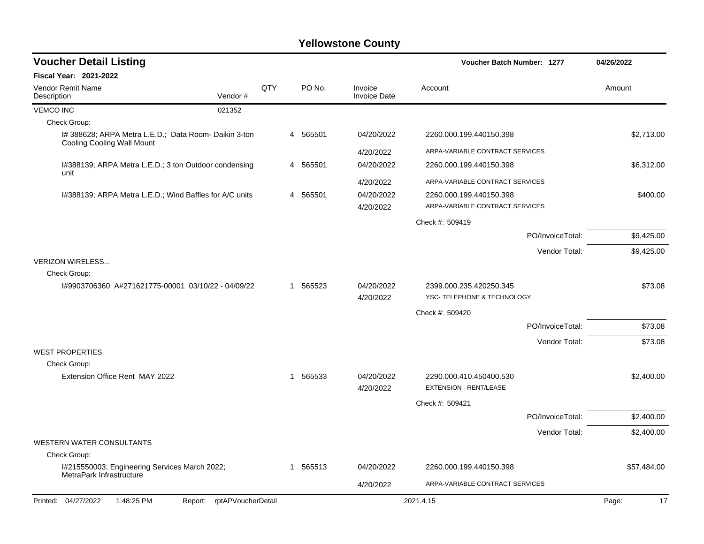| <b>Voucher Detail Listing</b>                                                              |                    |     |   |          |                                | <b>Voucher Batch Number: 1277</b>                        |                  | 04/26/2022  |
|--------------------------------------------------------------------------------------------|--------------------|-----|---|----------|--------------------------------|----------------------------------------------------------|------------------|-------------|
| <b>Fiscal Year: 2021-2022</b>                                                              |                    |     |   |          |                                |                                                          |                  |             |
| <b>Vendor Remit Name</b><br>Description                                                    | Vendor#            | QTY |   | PO No.   | Invoice<br><b>Invoice Date</b> | Account                                                  |                  | Amount      |
| <b>VEMCO INC</b>                                                                           | 021352             |     |   |          |                                |                                                          |                  |             |
| Check Group:                                                                               |                    |     |   |          |                                |                                                          |                  |             |
| I# 388628; ARPA Metra L.E.D.; Data Room- Daikin 3-ton<br><b>Cooling Cooling Wall Mount</b> |                    |     |   | 4 565501 | 04/20/2022                     | 2260.000.199.440150.398                                  |                  | \$2,713.00  |
|                                                                                            |                    |     |   |          | 4/20/2022                      | ARPA-VARIABLE CONTRACT SERVICES                          |                  |             |
| I#388139; ARPA Metra L.E.D.; 3 ton Outdoor condensing<br>unit                              |                    |     |   | 4 565501 | 04/20/2022                     | 2260.000.199.440150.398                                  |                  | \$6,312.00  |
|                                                                                            |                    |     |   |          | 4/20/2022                      | ARPA-VARIABLE CONTRACT SERVICES                          |                  |             |
| I#388139; ARPA Metra L.E.D.; Wind Baffles for A/C units                                    |                    |     |   | 4 565501 | 04/20/2022                     | 2260.000.199.440150.398                                  |                  | \$400.00    |
|                                                                                            |                    |     |   |          | 4/20/2022                      | ARPA-VARIABLE CONTRACT SERVICES                          |                  |             |
|                                                                                            |                    |     |   |          |                                | Check #: 509419                                          |                  |             |
|                                                                                            |                    |     |   |          |                                |                                                          | PO/InvoiceTotal: | \$9,425.00  |
|                                                                                            |                    |     |   |          |                                |                                                          | Vendor Total:    | \$9,425.00  |
| <b>VERIZON WIRELESS</b>                                                                    |                    |     |   |          |                                |                                                          |                  |             |
| Check Group:                                                                               |                    |     |   |          |                                |                                                          |                  |             |
| I#9903706360 A#271621775-00001 03/10/22 - 04/09/22                                         |                    |     | 1 | 565523   | 04/20/2022<br>4/20/2022        | 2399.000.235.420250.345<br>YSC- TELEPHONE & TECHNOLOGY   |                  | \$73.08     |
|                                                                                            |                    |     |   |          |                                | Check #: 509420                                          |                  |             |
|                                                                                            |                    |     |   |          |                                |                                                          | PO/InvoiceTotal: | \$73.08     |
|                                                                                            |                    |     |   |          |                                |                                                          | Vendor Total:    | \$73.08     |
| <b>WEST PROPERTIES</b>                                                                     |                    |     |   |          |                                |                                                          |                  |             |
| Check Group:                                                                               |                    |     |   |          |                                |                                                          |                  |             |
| Extension Office Rent MAY 2022                                                             |                    |     | 1 | 565533   | 04/20/2022<br>4/20/2022        | 2290.000.410.450400.530<br><b>EXTENSION - RENT/LEASE</b> |                  | \$2,400.00  |
|                                                                                            |                    |     |   |          |                                | Check #: 509421                                          |                  |             |
|                                                                                            |                    |     |   |          |                                |                                                          | PO/InvoiceTotal: | \$2,400.00  |
|                                                                                            |                    |     |   |          |                                |                                                          | Vendor Total:    | \$2,400.00  |
| <b>WESTERN WATER CONSULTANTS</b>                                                           |                    |     |   |          |                                |                                                          |                  |             |
| Check Group:                                                                               |                    |     |   |          |                                |                                                          |                  |             |
| I#215550003; Engineering Services March 2022;<br>MetraPark Infrastructure                  |                    |     |   | 1 565513 | 04/20/2022                     | 2260.000.199.440150.398                                  |                  | \$57,484.00 |
|                                                                                            |                    |     |   |          | 4/20/2022                      | ARPA-VARIABLE CONTRACT SERVICES                          |                  |             |
| Printed: 04/27/2022<br>1:48:25 PM<br>Report:                                               | rptAPVoucherDetail |     |   |          |                                | 2021.4.15                                                |                  | 17<br>Page: |